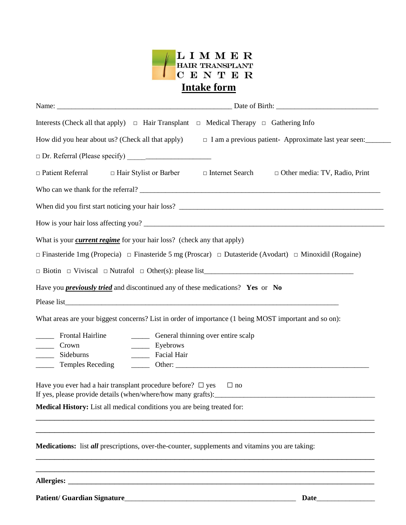

| Interests (Check all that apply) $\Box$ Hair Transplant $\Box$ Medical Therapy $\Box$ Gathering Info                                                                                                                                                                                                                                                                                                                                                |                                                                                           |  |  |  |
|-----------------------------------------------------------------------------------------------------------------------------------------------------------------------------------------------------------------------------------------------------------------------------------------------------------------------------------------------------------------------------------------------------------------------------------------------------|-------------------------------------------------------------------------------------------|--|--|--|
| How did you hear about us? (Check all that apply)                                                                                                                                                                                                                                                                                                                                                                                                   | □ I am a previous patient- Approximate last year seen:                                    |  |  |  |
|                                                                                                                                                                                                                                                                                                                                                                                                                                                     |                                                                                           |  |  |  |
| $\Box$ Patient Referral                                                                                                                                                                                                                                                                                                                                                                                                                             | $\Box$ Hair Stylist or Barber $\Box$ Internet Search $\Box$ Other media: TV, Radio, Print |  |  |  |
|                                                                                                                                                                                                                                                                                                                                                                                                                                                     |                                                                                           |  |  |  |
|                                                                                                                                                                                                                                                                                                                                                                                                                                                     |                                                                                           |  |  |  |
|                                                                                                                                                                                                                                                                                                                                                                                                                                                     |                                                                                           |  |  |  |
| What is your <i>current regime</i> for your hair loss? (check any that apply)                                                                                                                                                                                                                                                                                                                                                                       |                                                                                           |  |  |  |
| $\Box$ Finasteride 1mg (Propecia) $\Box$ Finasteride 5 mg (Proscar) $\Box$ Dutasteride (Avodart) $\Box$ Minoxidil (Rogaine)                                                                                                                                                                                                                                                                                                                         |                                                                                           |  |  |  |
|                                                                                                                                                                                                                                                                                                                                                                                                                                                     |                                                                                           |  |  |  |
| Have you <i>previously tried</i> and discontinued any of these medications? Yes or No                                                                                                                                                                                                                                                                                                                                                               |                                                                                           |  |  |  |
|                                                                                                                                                                                                                                                                                                                                                                                                                                                     |                                                                                           |  |  |  |
| What areas are your biggest concerns? List in order of importance (1 being MOST important and so on):                                                                                                                                                                                                                                                                                                                                               |                                                                                           |  |  |  |
| <b>Frontal Hairline</b><br>________ General thinning over entire scalp                                                                                                                                                                                                                                                                                                                                                                              |                                                                                           |  |  |  |
| Eyebrows<br>$\frac{1}{\sqrt{1-\frac{1}{2}} \sqrt{1-\frac{1}{2}} \sqrt{1-\frac{1}{2}} \sqrt{1-\frac{1}{2}} \sqrt{1-\frac{1}{2}} \sqrt{1-\frac{1}{2}} \sqrt{1-\frac{1}{2}} \sqrt{1-\frac{1}{2}} \sqrt{1-\frac{1}{2}} \sqrt{1-\frac{1}{2}} \sqrt{1-\frac{1}{2}} \sqrt{1-\frac{1}{2}} \sqrt{1-\frac{1}{2}} \sqrt{1-\frac{1}{2}} \sqrt{1-\frac{1}{2}} \sqrt{1-\frac{1}{2}} \sqrt{1-\frac{1}{2}} \sqrt{1-\frac{1}{2}} \sqrt{1-\frac{1}{2}} \sqrt{1-\frac$ |                                                                                           |  |  |  |
| Facial Hair<br>Sideburns<br>$\overline{\phantom{a}}$<br><b>Temples Receding</b><br>$\mathcal{L}^{\text{max}}$                                                                                                                                                                                                                                                                                                                                       |                                                                                           |  |  |  |
| Have you ever had a hair transplant procedure before? $\Box$ yes<br>If yes, please provide details (when/where/how many grafts):<br>Medical History: List all medical conditions you are being treated for:                                                                                                                                                                                                                                         | $\Box$ no                                                                                 |  |  |  |
| Medications: list all prescriptions, over-the-counter, supplements and vitamins you are taking:                                                                                                                                                                                                                                                                                                                                                     |                                                                                           |  |  |  |
|                                                                                                                                                                                                                                                                                                                                                                                                                                                     |                                                                                           |  |  |  |

**Patient/ Guardian Signature**\_\_\_\_\_\_\_\_\_\_\_\_\_\_\_\_\_\_\_\_\_\_\_\_\_\_\_\_\_\_\_\_\_\_\_\_\_\_\_\_\_\_\_\_\_\_\_ **Date**\_\_\_\_\_\_\_\_\_\_\_\_\_\_\_\_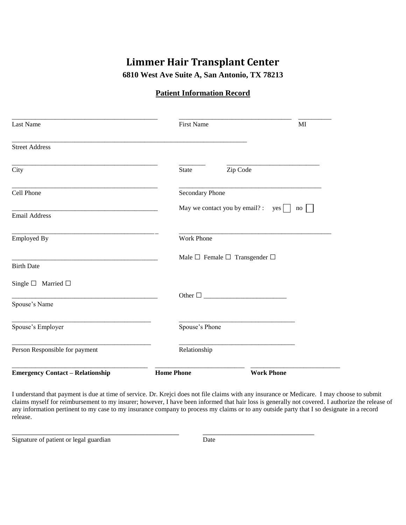## **Limmer Hair Transplant Center**

**6810 West Ave Suite A, San Antonio, TX 78213**

#### **Patient Information Record**

| Last Name                                                                                               | <b>First Name</b>                                | MI                |  |
|---------------------------------------------------------------------------------------------------------|--------------------------------------------------|-------------------|--|
| <b>Street Address</b>                                                                                   |                                                  |                   |  |
| City                                                                                                    | Zip Code<br>State                                |                   |  |
| Cell Phone                                                                                              | Secondary Phone                                  |                   |  |
| the contract of the contract of the contract of the contract of the contract of<br><b>Email Address</b> | May we contact you by email? : yes $\vert \vert$ | no                |  |
| <b>Employed By</b>                                                                                      | Work Phone                                       |                   |  |
| <b>Birth Date</b>                                                                                       | Male $\Box$ Female $\Box$ Transgender $\Box$     |                   |  |
| Single $\square$ Married $\square$                                                                      |                                                  |                   |  |
| <u> 1989 - Johann Barbara, martxa alemaniar arg</u><br>Spouse's Name                                    |                                                  |                   |  |
| Spouse's Employer                                                                                       | Spouse's Phone                                   |                   |  |
| Person Responsible for payment                                                                          | Relationship                                     |                   |  |
| <b>Emergency Contact - Relationship</b>                                                                 | <b>Home Phone</b>                                | <b>Work Phone</b> |  |

I understand that payment is due at time of service. Dr. Krejci does not file claims with any insurance or Medicare. I may choose to submit claims myself for reimbursement to my insurer; however, I have been informed that hair loss is generally not covered. I authorize the release of any information pertinent to my case to my insurance company to process my claims or to any outside party that I so designate in a record release.

Signature of patient or legal guardian Date

\_\_\_\_\_\_\_\_\_\_\_\_\_\_\_\_\_\_\_\_\_\_\_\_\_\_\_\_\_\_\_\_\_\_\_\_\_\_\_\_\_\_ \_\_\_\_\_\_\_\_\_\_\_\_\_\_\_\_\_\_\_\_\_\_\_\_\_\_\_\_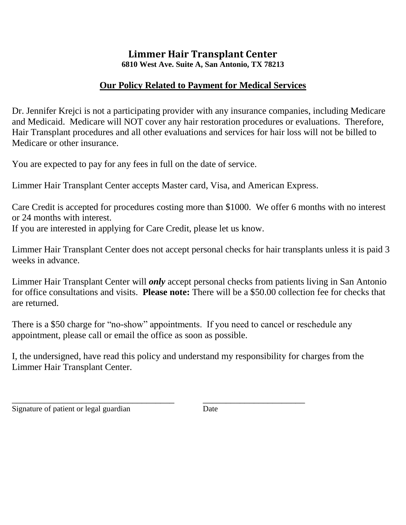# **Limmer Hair Transplant Center**

**6810 West Ave. Suite A, San Antonio, TX 78213**

## **Our Policy Related to Payment for Medical Services**

Dr. Jennifer Krejci is not a participating provider with any insurance companies, including Medicare and Medicaid. Medicare will NOT cover any hair restoration procedures or evaluations. Therefore, Hair Transplant procedures and all other evaluations and services for hair loss will not be billed to Medicare or other insurance.

You are expected to pay for any fees in full on the date of service.

Limmer Hair Transplant Center accepts Master card, Visa, and American Express.

Care Credit is accepted for procedures costing more than \$1000. We offer 6 months with no interest or 24 months with interest. If you are interested in applying for Care Credit, please let us know.

Limmer Hair Transplant Center does not accept personal checks for hair transplants unless it is paid 3 weeks in advance.

Limmer Hair Transplant Center will *only* accept personal checks from patients living in San Antonio for office consultations and visits. **Please note:** There will be a \$50.00 collection fee for checks that are returned.

There is a \$50 charge for "no-show" appointments. If you need to cancel or reschedule any appointment, please call or email the office as soon as possible.

I, the undersigned, have read this policy and understand my responsibility for charges from the Limmer Hair Transplant Center.

\_\_\_\_\_\_\_\_\_\_\_\_\_\_\_\_\_\_\_\_\_\_\_\_\_\_\_\_\_\_\_\_\_\_\_ \_\_\_\_\_\_\_\_\_\_\_\_\_\_\_\_\_\_\_\_\_\_

Signature of patient or legal guardian Date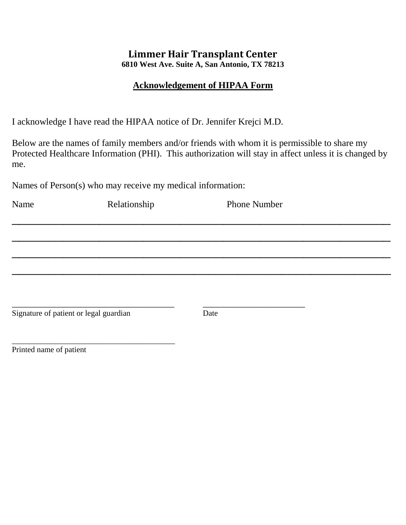## **Limmer Hair Transplant Center**

**6810 West Ave. Suite A, San Antonio, TX 78213**

#### **Acknowledgement of HIPAA Form**

I acknowledge I have read the HIPAA notice of Dr. Jennifer Krejci M.D.

Below are the names of family members and/or friends with whom it is permissible to share my Protected Healthcare Information (PHI). This authorization will stay in affect unless it is changed by me.

Names of Person(s) who may receive my medical information:

| Name                                   | Relationship | <b>Phone Number</b> |  |
|----------------------------------------|--------------|---------------------|--|
|                                        |              |                     |  |
|                                        |              |                     |  |
|                                        |              |                     |  |
|                                        |              |                     |  |
|                                        |              |                     |  |
|                                        |              |                     |  |
| Signature of patient or legal guardian |              | Date                |  |
|                                        |              |                     |  |
|                                        |              |                     |  |

Printed name of patient